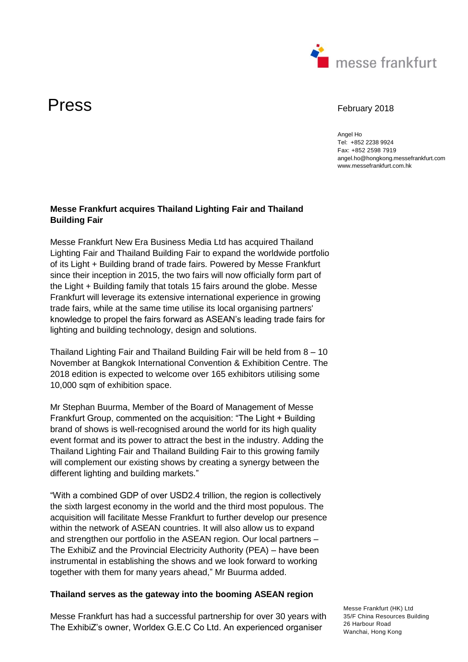

# Press February 2018

Angel Ho Tel: +852 2238 9924 Fax: +852 2598 7919 angel.ho@hongkong.messefrankfurt.com www.messefrankfurt.com.hk

### **Messe Frankfurt acquires Thailand Lighting Fair and Thailand Building Fair**

Messe Frankfurt New Era Business Media Ltd has acquired Thailand Lighting Fair and Thailand Building Fair to expand the worldwide portfolio of its Light + Building brand of trade fairs. Powered by Messe Frankfurt since their inception in 2015, the two fairs will now officially form part of the Light + Building family that totals 15 fairs around the globe. Messe Frankfurt will leverage its extensive international experience in growing trade fairs, while at the same time utilise its local organising partners' knowledge to propel the fairs forward as ASEAN's leading trade fairs for lighting and building technology, design and solutions.

Thailand Lighting Fair and Thailand Building Fair will be held from 8 – 10 November at Bangkok International Convention & Exhibition Centre. The 2018 edition is expected to welcome over 165 exhibitors utilising some 10,000 sqm of exhibition space.

Mr Stephan Buurma, Member of the Board of Management of Messe Frankfurt Group, commented on the acquisition: "The Light + Building brand of shows is well-recognised around the world for its high quality event format and its power to attract the best in the industry. Adding the Thailand Lighting Fair and Thailand Building Fair to this growing family will complement our existing shows by creating a synergy between the different lighting and building markets."

"With a combined GDP of over USD2.4 trillion, the region is collectively the sixth largest economy in the world and the third most populous. The acquisition will facilitate Messe Frankfurt to further develop our presence within the network of ASEAN countries. It will also allow us to expand and strengthen our portfolio in the ASEAN region. Our local partners -The ExhibiZ and the Provincial Electricity Authority (PEA) – have been instrumental in establishing the shows and we look forward to working together with them for many years ahead," Mr Buurma added.

## **Thailand serves as the gateway into the booming ASEAN region**

Messe Frankfurt has had a successful partnership for over 30 years with The ExhibiZ's owner, Worldex G.E.C Co Ltd. An experienced organiser

Messe Frankfurt (HK) Ltd 35/F China Resources Building 26 Harbour Road Wanchai, Hong Kong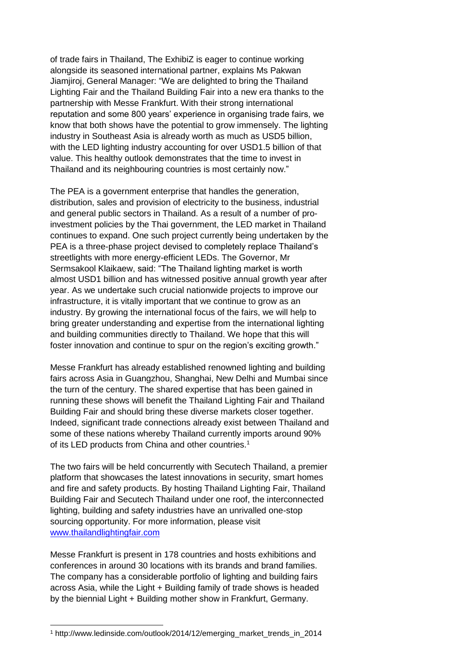of trade fairs in Thailand, The ExhibiZ is eager to continue working alongside its seasoned international partner, explains Ms Pakwan Jiamjiroj, General Manager: "We are delighted to bring the Thailand Lighting Fair and the Thailand Building Fair into a new era thanks to the partnership with Messe Frankfurt. With their strong international reputation and some 800 years' experience in organising trade fairs, we know that both shows have the potential to grow immensely. The lighting industry in Southeast Asia is already worth as much as USD5 billion, with the LED lighting industry accounting for over USD1.5 billion of that value. This healthy outlook demonstrates that the time to invest in Thailand and its neighbouring countries is most certainly now."

The PEA is a government enterprise that handles the generation, distribution, sales and provision of electricity to the business, industrial and general public sectors in Thailand. As a result of a number of proinvestment policies by the Thai government, the LED market in Thailand continues to expand. One such project currently being undertaken by the PEA is a three-phase project devised to completely replace Thailand's streetlights with more energy-efficient LEDs. The Governor, Mr Sermsakool Klaikaew, said: "The Thailand lighting market is worth almost USD1 billion and has witnessed positive annual growth year after year. As we undertake such crucial nationwide projects to improve our infrastructure, it is vitally important that we continue to grow as an industry. By growing the international focus of the fairs, we will help to bring greater understanding and expertise from the international lighting and building communities directly to Thailand. We hope that this will foster innovation and continue to spur on the region's exciting growth."

Messe Frankfurt has already established renowned lighting and building fairs across Asia in Guangzhou, Shanghai, New Delhi and Mumbai since the turn of the century. The shared expertise that has been gained in running these shows will benefit the Thailand Lighting Fair and Thailand Building Fair and should bring these diverse markets closer together. Indeed, significant trade connections already exist between Thailand and some of these nations whereby Thailand currently imports around 90% of its LED products from China and other countries.<sup>1</sup>

The two fairs will be held concurrently with Secutech Thailand, a premier platform that showcases the latest innovations in security, smart homes and fire and safety products. By hosting Thailand Lighting Fair, Thailand Building Fair and Secutech Thailand under one roof, the interconnected lighting, building and safety industries have an unrivalled one-stop sourcing opportunity. For more information, please visit [www.thailandlightingfair.com](http://www.thailandlightingfair.com/)

Messe Frankfurt is present in 178 countries and hosts exhibitions and conferences in around 30 locations with its brands and brand families. The company has a considerable portfolio of lighting and building fairs across Asia, while the Light + Building family of trade shows is headed by the biennial Light + Building mother show in Frankfurt, Germany.

 <sup>1</sup> http://www.ledinside.com/outlook/2014/12/emerging\_market\_trends\_in\_2014